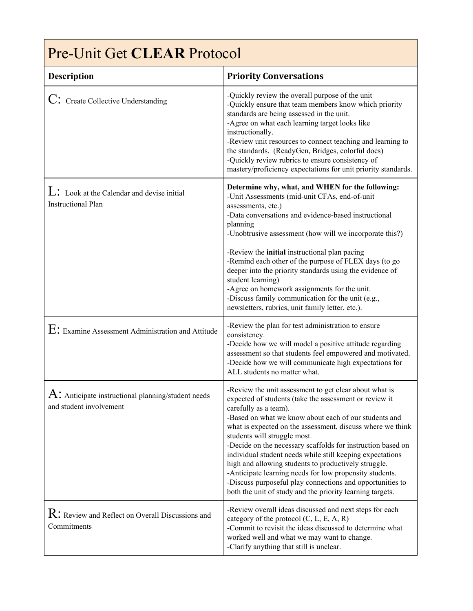| <b>Pre-Unit Get CLEAR Protocol</b>                                                          |                                                                                                                                                                                                                                                                                                                                                                                                                                                                                                                                                                                                                                                                           |  |
|---------------------------------------------------------------------------------------------|---------------------------------------------------------------------------------------------------------------------------------------------------------------------------------------------------------------------------------------------------------------------------------------------------------------------------------------------------------------------------------------------------------------------------------------------------------------------------------------------------------------------------------------------------------------------------------------------------------------------------------------------------------------------------|--|
| <b>Description</b>                                                                          | <b>Priority Conversations</b>                                                                                                                                                                                                                                                                                                                                                                                                                                                                                                                                                                                                                                             |  |
| $C$ : Create Collective Understanding                                                       | -Quickly review the overall purpose of the unit<br>-Quickly ensure that team members know which priority<br>standards are being assessed in the unit.<br>-Agree on what each learning target looks like<br>instructionally.<br>-Review unit resources to connect teaching and learning to<br>the standards. (ReadyGen, Bridges, colorful docs)<br>-Quickly review rubrics to ensure consistency of<br>mastery/proficiency expectations for unit priority standards.                                                                                                                                                                                                       |  |
| $\mathbf{L}$ : Look at the Calendar and devise initial<br><b>Instructional Plan</b>         | Determine why, what, and WHEN for the following:<br>-Unit Assessments (mid-unit CFAs, end-of-unit<br>assessments, etc.)<br>-Data conversations and evidence-based instructional<br>planning<br>-Unobtrusive assessment (how will we incorporate this?)<br>-Review the initial instructional plan pacing<br>-Remind each other of the purpose of FLEX days (to go<br>deeper into the priority standards using the evidence of<br>student learning)<br>-Agree on homework assignments for the unit.<br>-Discuss family communication for the unit (e.g.,<br>newsletters, rubrics, unit family letter, etc.).                                                                |  |
| $E$ : Examine Assessment Administration and Attitude                                        | -Review the plan for test administration to ensure<br>consistency.<br>-Decide how we will model a positive attitude regarding<br>assessment so that students feel empowered and motivated.<br>-Decide how we will communicate high expectations for<br>ALL students no matter what.                                                                                                                                                                                                                                                                                                                                                                                       |  |
| $\overline{A}$ : Anticipate instructional planning/student needs<br>and student involvement | -Review the unit assessment to get clear about what is<br>expected of students (take the assessment or review it<br>carefully as a team).<br>-Based on what we know about each of our students and<br>what is expected on the assessment, discuss where we think<br>students will struggle most.<br>-Decide on the necessary scaffolds for instruction based on<br>individual student needs while still keeping expectations<br>high and allowing students to productively struggle.<br>-Anticipate learning needs for low propensity students.<br>-Discuss purposeful play connections and opportunities to<br>both the unit of study and the priority learning targets. |  |
| $\mathrm{R}$ : Review and Reflect on Overall Discussions and<br>Commitments                 | -Review overall ideas discussed and next steps for each<br>category of the protocol $(C, L, E, A, R)$<br>-Commit to revisit the ideas discussed to determine what<br>worked well and what we may want to change.<br>-Clarify anything that still is unclear.                                                                                                                                                                                                                                                                                                                                                                                                              |  |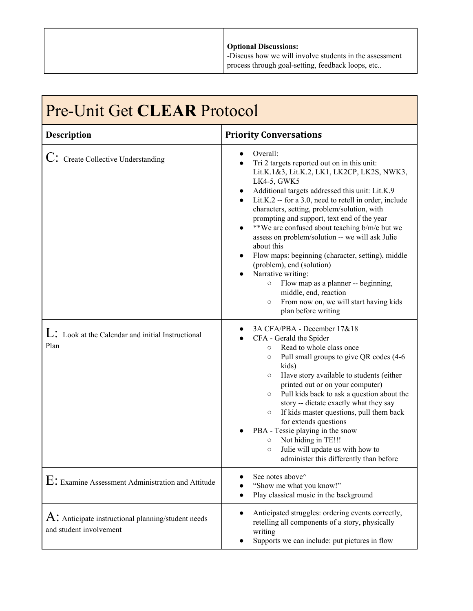| <b>Optional Discussions:</b><br>-Discuss how we will involve students in the assessment<br>process through goal-setting, feedback loops, etc |
|----------------------------------------------------------------------------------------------------------------------------------------------|

| <b>Pre-Unit Get CLEAR Protocol</b>                                                          |                                                                                                                                                                                                                                                                                                                                                                                                                                                                                                                                                                                                                                                                                                                                             |
|---------------------------------------------------------------------------------------------|---------------------------------------------------------------------------------------------------------------------------------------------------------------------------------------------------------------------------------------------------------------------------------------------------------------------------------------------------------------------------------------------------------------------------------------------------------------------------------------------------------------------------------------------------------------------------------------------------------------------------------------------------------------------------------------------------------------------------------------------|
| <b>Description</b>                                                                          | <b>Priority Conversations</b>                                                                                                                                                                                                                                                                                                                                                                                                                                                                                                                                                                                                                                                                                                               |
| $C$ : Create Collective Understanding                                                       | Overall:<br>Tri 2 targets reported out on in this unit:<br>Lit.K.1&3, Lit.K.2, LK1, LK2CP, LK2S, NWK3,<br>LK4-5, GWK5<br>Additional targets addressed this unit: Lit.K.9<br>Lit.K.2 -- for a 3.0, need to retell in order, include<br>$\bullet$<br>characters, setting, problem/solution, with<br>prompting and support, text end of the year<br>**We are confused about teaching b/m/e but we<br>$\bullet$<br>assess on problem/solution -- we will ask Julie<br>about this<br>Flow maps: beginning (character, setting), middle<br>(problem), end (solution)<br>Narrative writing:<br>Flow map as a planner -- beginning,<br>$\circ$<br>middle, end, reaction<br>From now on, we will start having kids<br>$\circ$<br>plan before writing |
| $\mathbf{L}$ : Look at the Calendar and initial Instructional<br>Plan                       | 3A CFA/PBA - December 17&18<br>CFA - Gerald the Spider<br>Read to whole class once<br>$\circ$<br>Pull small groups to give QR codes (4-6<br>$\circ$<br>kids)<br>Have story available to students (either<br>$\circ$<br>printed out or on your computer)<br>Pull kids back to ask a question about the<br>$\circ$<br>story -- dictate exactly what they say<br>If kids master questions, pull them back<br>$\circ$<br>for extends questions<br>PBA - Tessie playing in the snow<br>Not hiding in TE!!!<br>$\circ$<br>Julie will update us with how to<br>$\circ$<br>administer this differently than before                                                                                                                                  |
| $E$ : Examine Assessment Administration and Attitude                                        | See notes above <sup><math>\wedge</math></sup><br>"Show me what you know!"<br>Play classical music in the background<br>$\bullet$                                                                                                                                                                                                                                                                                                                                                                                                                                                                                                                                                                                                           |
| $\overline{A}$ : Anticipate instructional planning/student needs<br>and student involvement | Anticipated struggles: ordering events correctly,<br>$\bullet$<br>retelling all components of a story, physically<br>writing<br>Supports we can include: put pictures in flow                                                                                                                                                                                                                                                                                                                                                                                                                                                                                                                                                               |